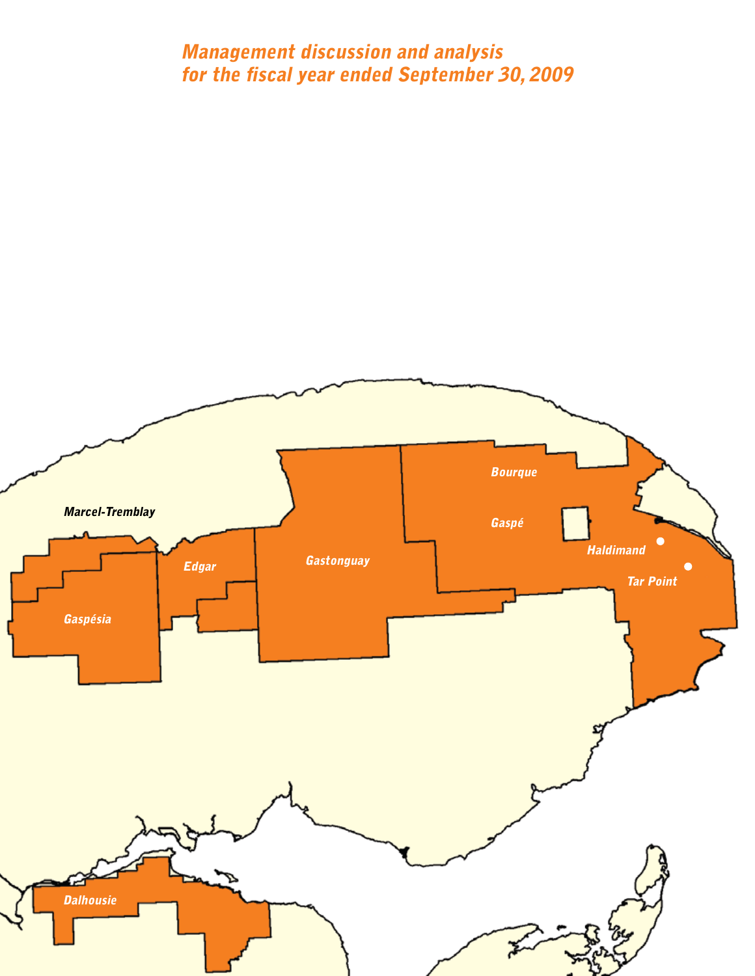# Management discussion and analysis for the fiscal year ended September 30, 2009

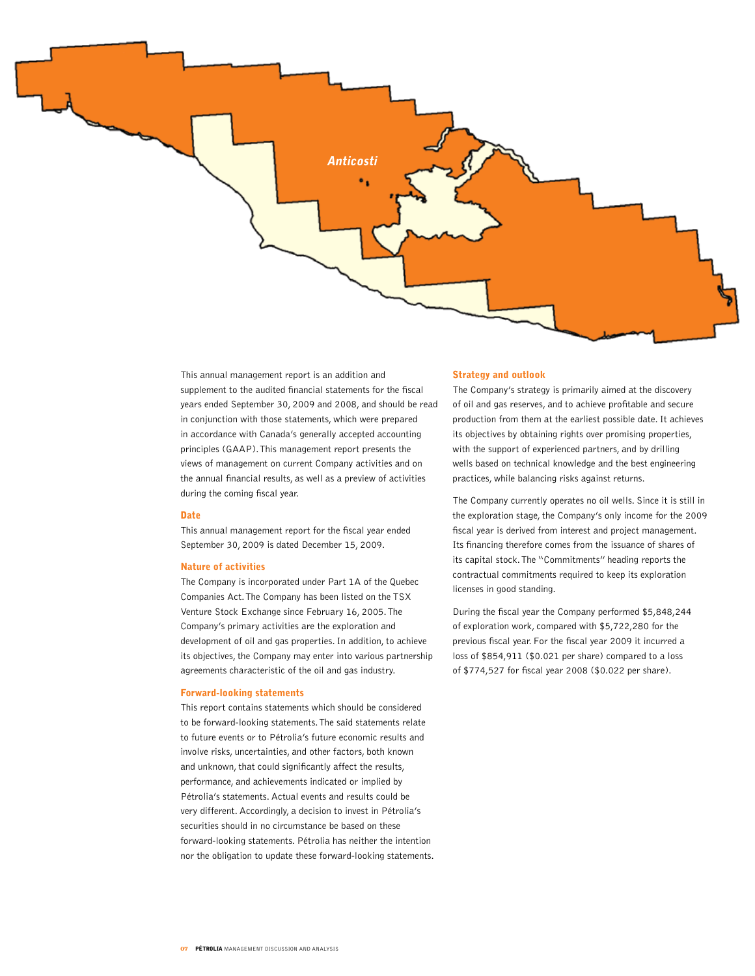

This annual management report is an addition and supplement to the audited financial statements for the fiscal years ended September 30, 2009 and 2008, and should be read in conjunction with those statements, which were prepared in accordance with Canada's generally accepted accounting principles (GAAP). This management report presents the views of management on current Company activities and on the annual financial results, as well as a preview of activities during the coming fiscal year.

## **Date**

This annual management report for the fiscal year ended September 30, 2009 is dated December 15, 2009.

#### Nature of activities

The Company is incorporated under Part 1A of the Quebec Companies Act. The Company has been listed on the TSX Venture Stock Exchange since February 16, 2005. The Company's primary activities are the exploration and development of oil and gas properties. In addition, to achieve its objectives, the Company may enter into various partnership agreements characteristic of the oil and gas industry.

#### Forward-looking statements

This report contains statements which should be considered to be forward-looking statements. The said statements relate to future events or to Pétrolia's future economic results and involve risks, uncertainties, and other factors, both known and unknown, that could significantly affect the results, performance, and achievements indicated or implied by Pétrolia's statements. Actual events and results could be very different. Accordingly, a decision to invest in Pétrolia's securities should in no circumstance be based on these forward-looking statements. Pétrolia has neither the intention nor the obligation to update these forward-looking statements.

#### Strategy and outlook

The Company's strategy is primarily aimed at the discovery of oil and gas reserves, and to achieve profitable and secure production from them at the earliest possible date. It achieves its objectives by obtaining rights over promising properties, with the support of experienced partners, and by drilling wells based on technical knowledge and the best engineering practices, while balancing risks against returns.

The Company currently operates no oil wells. Since it is still in the exploration stage, the Company's only income for the 2009 fiscal year is derived from interest and project management. Its financing therefore comes from the issuance of shares of its capital stock. The "Commitments" heading reports the contractual commitments required to keep its exploration licenses in good standing.

During the fiscal year the Company performed \$5,848,244 of exploration work, compared with \$5,722,280 for the previous fiscal year. For the fiscal year 2009 it incurred a loss of \$854,911 (\$0.021 per share) compared to a loss of \$774,527 for fiscal year 2008 (\$0.022 per share).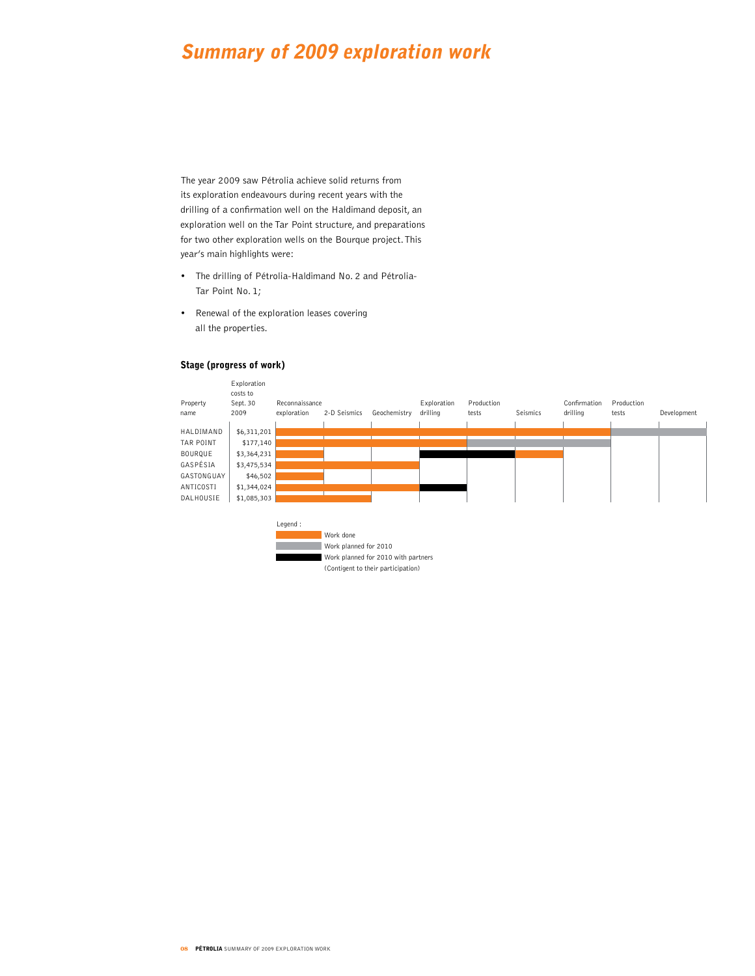# Summary of 2009 exploration work

The year 2009 saw Pétrolia achieve solid returns from its exploration endeavours during recent years with the drilling of a confirmation well on the Haldimand deposit, an exploration well on the Tar Point structure, and preparations for two other exploration wells on the Bourque project. This year's main highlights were:

- The drilling of Pétrolia-Haldimand No. 2 and Pétrolia-Tar Point No. 1;
- • Renewal of the exploration leases covering all the properties.

# Stage (progress of work)

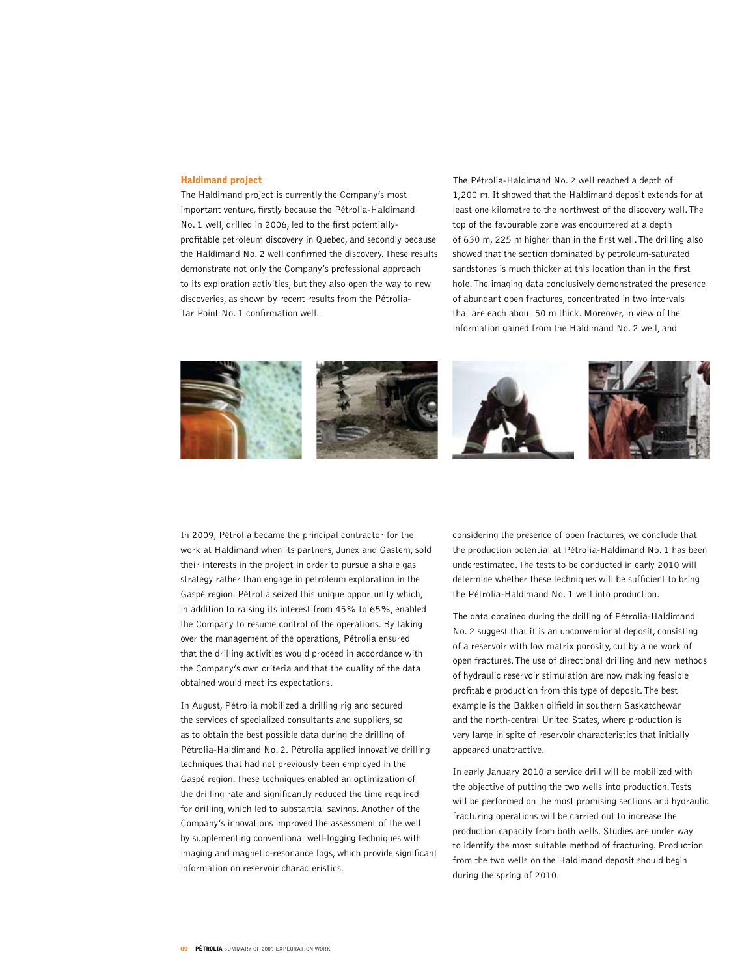## Haldimand project

The Haldimand project is currently the Company's most important venture, firstly because the Pétrolia-Haldimand No. 1 well, drilled in 2006, led to the first potentiallyprofitable petroleum discovery in Quebec, and secondly because the Haldimand No. 2 well confirmed the discovery. These results demonstrate not only the Company's professional approach to its exploration activities, but they also open the way to new discoveries, as shown by recent results from the Pétrolia-Tar Point No. 1 confirmation well.

The Pétrolia-Haldimand No. 2 well reached a depth of 1,200 m. It showed that the Haldimand deposit extends for at least one kilometre to the northwest of the discovery well. The top of the favourable zone was encountered at a depth of 630 m, 225 m higher than in the first well. The drilling also showed that the section dominated by petroleum-saturated sandstones is much thicker at this location than in the first hole. The imaging data conclusively demonstrated the presence of abundant open fractures, concentrated in two intervals that are each about 50 m thick. Moreover, in view of the information gained from the Haldimand No. 2 well, and



In 2009, Pétrolia became the principal contractor for the work at Haldimand when its partners, Junex and Gastem, sold their interests in the project in order to pursue a shale gas strategy rather than engage in petroleum exploration in the Gaspé region. Pétrolia seized this unique opportunity which, in addition to raising its interest from 45% to 65%, enabled the Company to resume control of the operations. By taking over the management of the operations, Pétrolia ensured that the drilling activities would proceed in accordance with the Company's own criteria and that the quality of the data obtained would meet its expectations.

In August, Pétrolia mobilized a drilling rig and secured the services of specialized consultants and suppliers, so as to obtain the best possible data during the drilling of Pétrolia-Haldimand No. 2. Pétrolia applied innovative drilling techniques that had not previously been employed in the Gaspé region. These techniques enabled an optimization of the drilling rate and significantly reduced the time required for drilling, which led to substantial savings. Another of the Company's innovations improved the assessment of the well by supplementing conventional well-logging techniques with imaging and magnetic-resonance logs, which provide significant information on reservoir characteristics.

considering the presence of open fractures, we conclude that the production potential at Pétrolia-Haldimand No. 1 has been underestimated. The tests to be conducted in early 2010 will determine whether these techniques will be sufficient to bring the Pétrolia-Haldimand No. 1 well into production.

The data obtained during the drilling of Pétrolia-Haldimand No. 2 suggest that it is an unconventional deposit, consisting of a reservoir with low matrix porosity, cut by a network of open fractures. The use of directional drilling and new methods of hydraulic reservoir stimulation are now making feasible profitable production from this type of deposit. The best example is the Bakken oilfield in southern Saskatchewan and the north-central United States, where production is very large in spite of reservoir characteristics that initially appeared unattractive.

In early January 2010 a service drill will be mobilized with the objective of putting the two wells into production. Tests will be performed on the most promising sections and hydraulic fracturing operations will be carried out to increase the production capacity from both wells. Studies are under way to identify the most suitable method of fracturing. Production from the two wells on the Haldimand deposit should begin during the spring of 2010.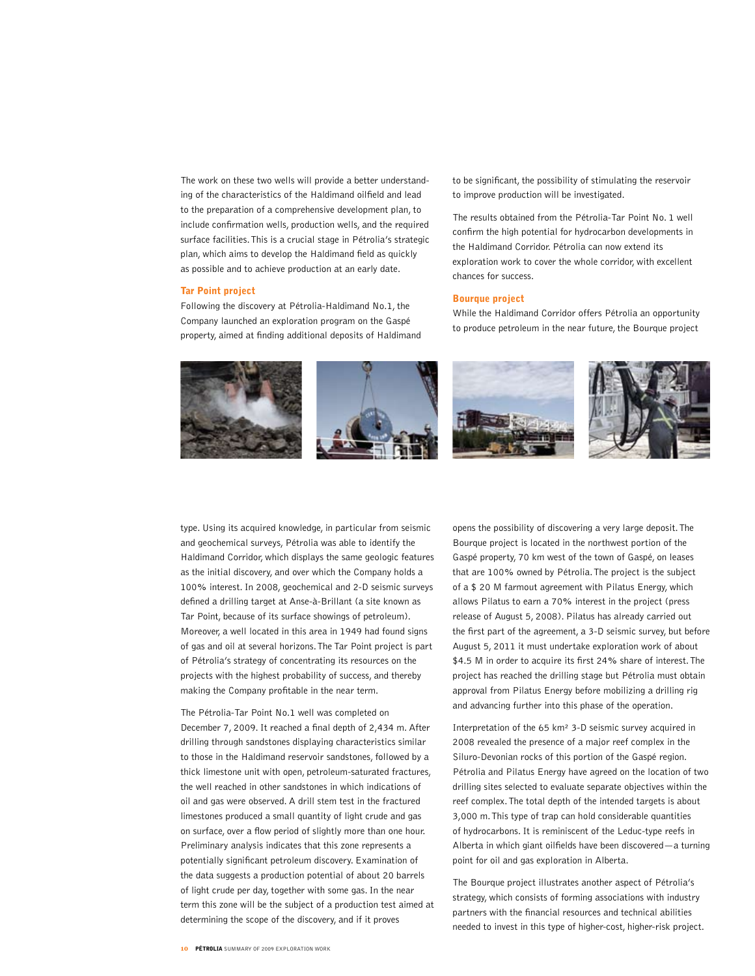The work on these two wells will provide a better understanding of the characteristics of the Haldimand oilfield and lead to the preparation of a comprehensive development plan, to include confirmation wells, production wells, and the required surface facilities. This is a crucial stage in Pétrolia's strategic plan, which aims to develop the Haldimand field as quickly as possible and to achieve production at an early date.

#### Tar Point project

Following the discovery at Pétrolia-Haldimand No.1, the Company launched an exploration program on the Gaspé property, aimed at finding additional deposits of Haldimand to be significant, the possibility of stimulating the reservoir to improve production will be investigated.

The results obtained from the Pétrolia-Tar Point No. 1 well confirm the high potential for hydrocarbon developments in the Haldimand Corridor. Pétrolia can now extend its exploration work to cover the whole corridor, with excellent chances for success.

## Bourque project

While the Haldimand Corridor offers Pétrolia an opportunity to produce petroleum in the near future, the Bourque project



type. Using its acquired knowledge, in particular from seismic and geochemical surveys, Pétrolia was able to identify the Haldimand Corridor, which displays the same geologic features as the initial discovery, and over which the Company holds a 100% interest. In 2008, geochemical and 2-D seismic surveys defined a drilling target at Anse-à-Brillant (a site known as Tar Point, because of its surface showings of petroleum). Moreover, a well located in this area in 1949 had found signs of gas and oil at several horizons. The Tar Point project is part of Pétrolia's strategy of concentrating its resources on the projects with the highest probability of success, and thereby making the Company profitable in the near term.

The Pétrolia-Tar Point No.1 well was completed on December 7, 2009. It reached a final depth of 2,434 m. After drilling through sandstones displaying characteristics similar to those in the Haldimand reservoir sandstones, followed by a thick limestone unit with open, petroleum-saturated fractures, the well reached in other sandstones in which indications of oil and gas were observed. A drill stem test in the fractured limestones produced a small quantity of light crude and gas on surface, over a flow period of slightly more than one hour. Preliminary analysis indicates that this zone represents a potentially significant petroleum discovery. Examination of the data suggests a production potential of about 20 barrels of light crude per day, together with some gas. In the near term this zone will be the subject of a production test aimed at determining the scope of the discovery, and if it proves

opens the possibility of discovering a very large deposit. The Bourque project is located in the northwest portion of the Gaspé property, 70 km west of the town of Gaspé, on leases that are 100% owned by Pétrolia. The project is the subject of a \$ 20 M farmout agreement with Pilatus Energy, which allows Pilatus to earn a 70% interest in the project (press release of August 5, 2008). Pilatus has already carried out the first part of the agreement, a 3-D seismic survey, but before August 5, 2011 it must undertake exploration work of about \$4.5 M in order to acquire its first 24% share of interest. The project has reached the drilling stage but Pétrolia must obtain approval from Pilatus Energy before mobilizing a drilling rig and advancing further into this phase of the operation.

Interpretation of the 65 km² 3-D seismic survey acquired in 2008 revealed the presence of a major reef complex in the Siluro-Devonian rocks of this portion of the Gaspé region. Pétrolia and Pilatus Energy have agreed on the location of two drilling sites selected to evaluate separate objectives within the reef complex. The total depth of the intended targets is about 3,000 m. This type of trap can hold considerable quantities of hydrocarbons. It is reminiscent of the Leduc-type reefs in Alberta in which giant oilfields have been discovered—a turning point for oil and gas exploration in Alberta.

The Bourque project illustrates another aspect of Pétrolia's strategy, which consists of forming associations with industry partners with the financial resources and technical abilities needed to invest in this type of higher-cost, higher-risk project.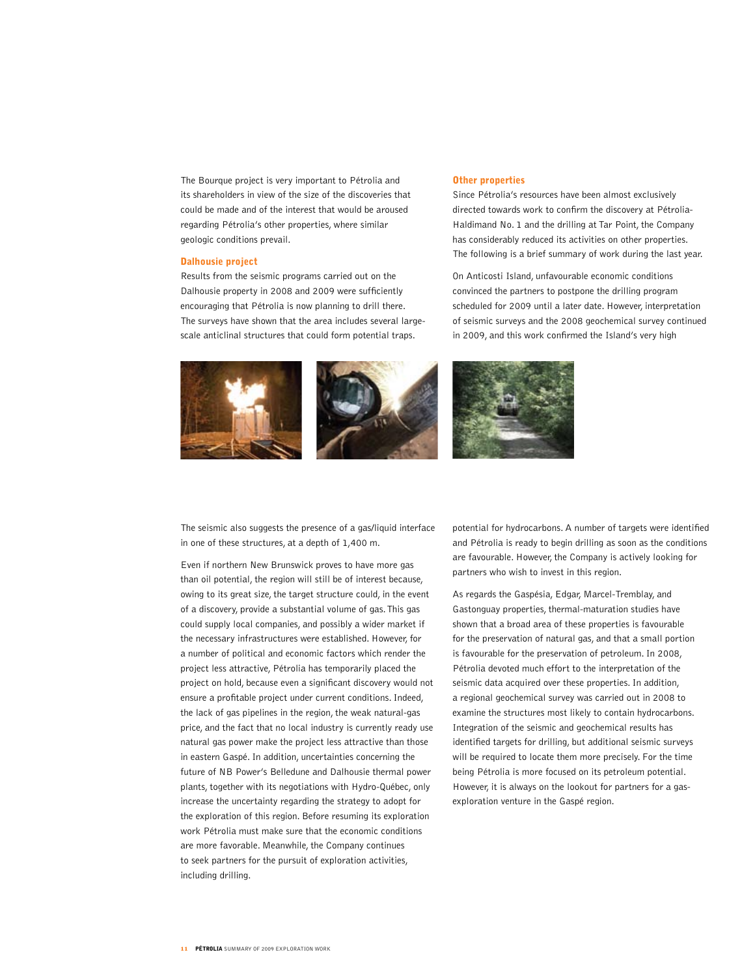The Bourque project is very important to Pétrolia and its shareholders in view of the size of the discoveries that could be made and of the interest that would be aroused regarding Pétrolia's other properties, where similar geologic conditions prevail.

#### Dalhousie project

Results from the seismic programs carried out on the Dalhousie property in 2008 and 2009 were sufficiently encouraging that Pétrolia is now planning to drill there. The surveys have shown that the area includes several largescale anticlinal structures that could form potential traps.

## Other properties

Since Pétrolia's resources have been almost exclusively directed towards work to confirm the discovery at Pétrolia-Haldimand No. 1 and the drilling at Tar Point, the Company has considerably reduced its activities on other properties. The following is a brief summary of work during the last year.

On Anticosti Island, unfavourable economic conditions convinced the partners to postpone the drilling program scheduled for 2009 until a later date. However, interpretation of seismic surveys and the 2008 geochemical survey continued in 2009, and this work confirmed the Island's very high



The seismic also suggests the presence of a gas/liquid interface in one of these structures, at a depth of 1,400 m.

Even if northern New Brunswick proves to have more gas than oil potential, the region will still be of interest because, owing to its great size, the target structure could, in the event of a discovery, provide a substantial volume of gas. This gas could supply local companies, and possibly a wider market if the necessary infrastructures were established. However, for a number of political and economic factors which render the project less attractive, Pétrolia has temporarily placed the project on hold, because even a significant discovery would not ensure a profitable project under current conditions. Indeed, the lack of gas pipelines in the region, the weak natural-gas price, and the fact that no local industry is currently ready use natural gas power make the project less attractive than those in eastern Gaspé. In addition, uncertainties concerning the future of NB Power's Belledune and Dalhousie thermal power plants, together with its negotiations with Hydro-Québec, only increase the uncertainty regarding the strategy to adopt for the exploration of this region. Before resuming its exploration work Pétrolia must make sure that the economic conditions are more favorable. Meanwhile, the Company continues to seek partners for the pursuit of exploration activities, including drilling.

potential for hydrocarbons. A number of targets were identified and Pétrolia is ready to begin drilling as soon as the conditions are favourable. However, the Company is actively looking for partners who wish to invest in this region.

As regards the Gaspésia, Edgar, Marcel-Tremblay, and Gastonguay properties, thermal-maturation studies have shown that a broad area of these properties is favourable for the preservation of natural gas, and that a small portion is favourable for the preservation of petroleum. In 2008, Pétrolia devoted much effort to the interpretation of the seismic data acquired over these properties. In addition, a regional geochemical survey was carried out in 2008 to examine the structures most likely to contain hydrocarbons. Integration of the seismic and geochemical results has identified targets for drilling, but additional seismic surveys will be required to locate them more precisely. For the time being Pétrolia is more focused on its petroleum potential. However, it is always on the lookout for partners for a gasexploration venture in the Gaspé region.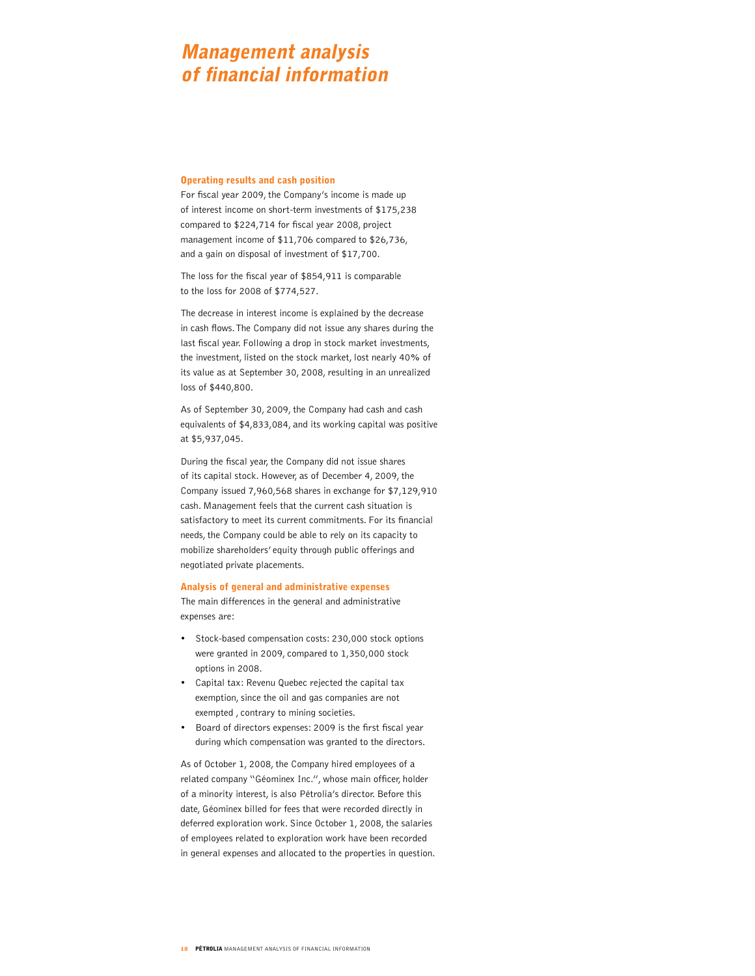# Management analysis of financial information

#### Operating results and cash position

For fiscal year 2009, the Company's income is made up of interest income on short-term investments of \$175,238 compared to \$224,714 for fiscal year 2008, project management income of \$11,706 compared to \$26,736, and a gain on disposal of investment of \$17,700.

The loss for the fiscal year of \$854,911 is comparable to the loss for 2008 of \$774,527.

The decrease in interest income is explained by the decrease in cash flows. The Company did not issue any shares during the last fiscal year. Following a drop in stock market investments, the investment, listed on the stock market, lost nearly 40% of its value as at September 30, 2008, resulting in an unrealized loss of \$440,800.

As of September 30, 2009, the Company had cash and cash equivalents of \$4,833,084, and its working capital was positive at \$5,937,045.

During the fiscal year, the Company did not issue shares of its capital stock. However, as of December 4, 2009, the Company issued 7,960,568 shares in exchange for \$7,129,910 cash. Management feels that the current cash situation is satisfactory to meet its current commitments. For its financial needs, the Company could be able to rely on its capacity to mobilize shareholders' equity through public offerings and negotiated private placements.

#### Analysis of general and administrative expenses

The main differences in the general and administrative expenses are:

- • Stock-based compensation costs: 230,000 stock options were granted in 2009, compared to 1,350,000 stock options in 2008.
- Capital tax: Revenu Quebec rejected the capital tax exemption, since the oil and gas companies are not exempted , contrary to mining societies.
- Board of directors expenses: 2009 is the first fiscal year during which compensation was granted to the directors.

As of October 1, 2008, the Company hired employees of a related company "Géominex Inc.", whose main officer, holder of a minority interest, is also Pétrolia's director. Before this date, Géominex billed for fees that were recorded directly in deferred exploration work. Since October 1, 2008, the salaries of employees related to exploration work have been recorded in general expenses and allocated to the properties in question.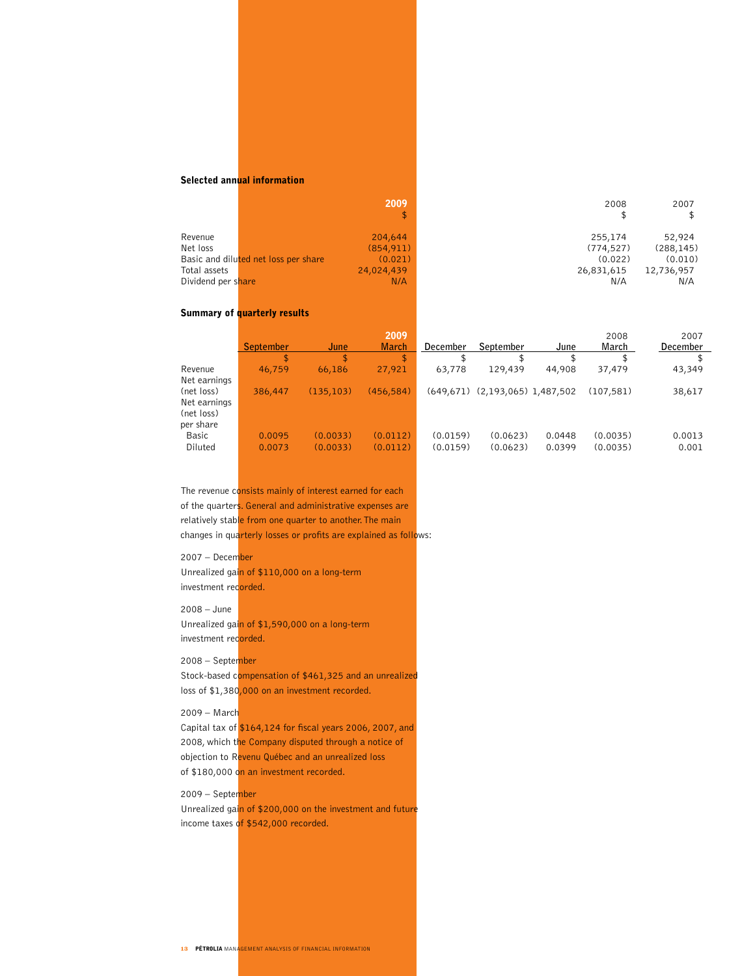# Selected annual information

|                    | 2009<br>\$                                      | 2008       | 2007       |
|--------------------|-------------------------------------------------|------------|------------|
| Revenue            | 204,644                                         | 255,174    | 52,924     |
| Net loss           | (854, 911)                                      | (774, 527) | (288, 145) |
|                    | Basic and diluted net loss per share<br>(0.021) | (0.022)    | (0.010)    |
| Total assets       | 24,024,439                                      | 26,831,615 | 12,736,957 |
| Dividend per share | N/A                                             | N/A        | N/A        |

# Summary of quarterly results

|              | <b>September</b> | June       | 2009<br><b>March</b> | December | September                           | June   | 2008<br>March | 2007<br>December |
|--------------|------------------|------------|----------------------|----------|-------------------------------------|--------|---------------|------------------|
|              | \$               | \$         | \$                   |          |                                     |        |               |                  |
| Revenue      | 46,759           | 66,186     | 27,921               | 63,778   | 129,439                             | 44,908 | 37,479        | 43,349           |
| Net earnings |                  |            |                      |          |                                     |        |               |                  |
| (net loss)   | 386,447          | (135, 103) | (456, 584)           |          | $(649,671)$ $(2,193,065)$ 1,487,502 |        | (107.581)     | 38,617           |
| Net earnings |                  |            |                      |          |                                     |        |               |                  |
| (net loss)   |                  |            |                      |          |                                     |        |               |                  |
| per share    |                  |            |                      |          |                                     |        |               |                  |
| Basic        | 0.0095           | (0.0033)   | (0.0112)             | (0.0159) | (0.0623)                            | 0.0448 | (0.0035)      | 0.0013           |
| Diluted      | 0.0073           | (0.0033)   | (0.0112)             | (0.0159) | (0.0623)                            | 0.0399 | (0.0035)      | 0.001            |
|              |                  |            |                      |          |                                     |        |               |                  |

The revenue consists mainly of interest earned for each of the quarters. General and administrative expenses are relatively stable from one quarter to another. The main changes in quarterly losses or profits are explained as follows:

## 2007 – December

Unrealized gain of \$110,000 on a long-term investment recorded.

2008 – June

Unrealized gain of \$1,590,000 on a long-term investment recorded.

## 2008 – September

Stock-based compensation of \$461,325 and an unrealized loss of \$1,380,000 on an investment recorded.

# 2009 – March

Capital tax of \$164,124 for fiscal years 2006, 2007, and 2008, which the Company disputed through a notice of objection to Revenu Québec and an unrealized loss of \$180,000 on an investment recorded.

# 2009 – September

Unrealized gain of \$200,000 on the investment and future income taxes of \$542,000 recorded.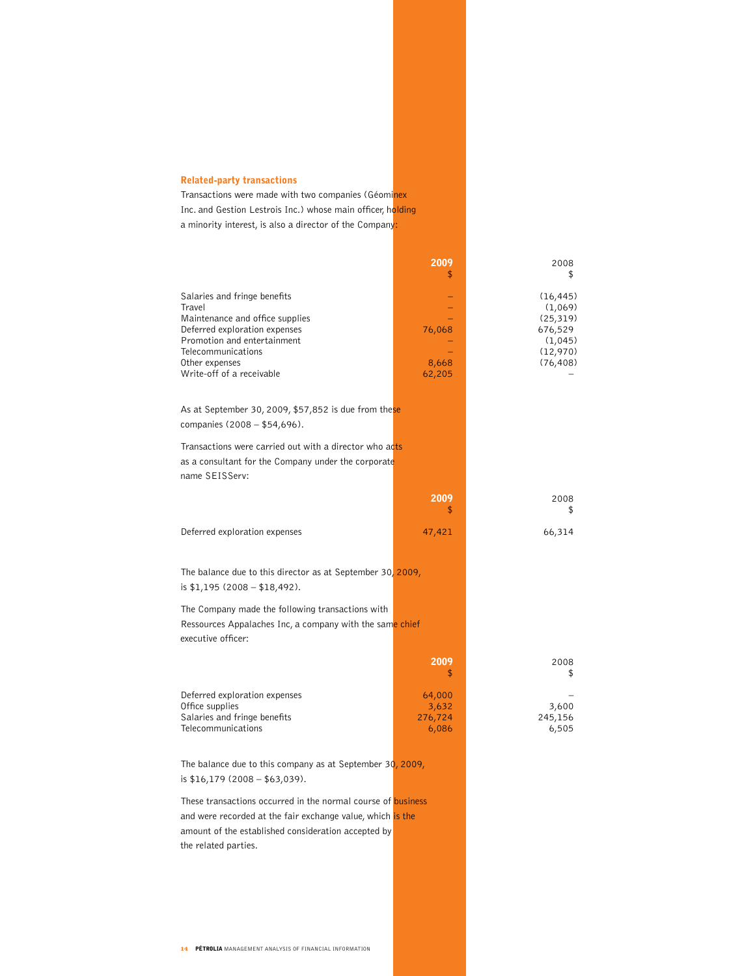# Related-party transactions

Transactions were made with two companies (Géominex Inc. and Gestion Lestrois Inc.) whose main officer, holding a minority interest, is also a director of the Company:

|                                                                                                                                                                                                                | 2009<br>\$                          | 2008<br>\$                                                                       |
|----------------------------------------------------------------------------------------------------------------------------------------------------------------------------------------------------------------|-------------------------------------|----------------------------------------------------------------------------------|
| Salaries and fringe benefits<br>Travel<br>Maintenance and office supplies<br>Deferred exploration expenses<br>Promotion and entertainment<br>Telecommunications<br>Other expenses<br>Write-off of a receivable | 76,068<br>8,668<br>62,205           | (16, 445)<br>(1,069)<br>(25, 319)<br>676,529<br>(1,045)<br>(12,970)<br>(76, 408) |
| As at September 30, 2009, \$57,852 is due from these<br>companies (2008 - \$54,696).                                                                                                                           |                                     |                                                                                  |
| Transactions were carried out with a director who acts<br>as a consultant for the Company under the corporate<br>name SEISServ:                                                                                |                                     |                                                                                  |
|                                                                                                                                                                                                                | 2009<br>\$                          | 2008<br>\$                                                                       |
| Deferred exploration expenses                                                                                                                                                                                  | 47,421                              | 66,314                                                                           |
| The balance due to this director as at September 30, 2009,<br>is $$1,195$ (2008 - $$18,492$ ).                                                                                                                 |                                     |                                                                                  |
| The Company made the following transactions with<br>Ressources Appalaches Inc, a company with the same chief<br>executive officer:                                                                             |                                     |                                                                                  |
|                                                                                                                                                                                                                | 2009<br>\$                          | 2008<br>\$                                                                       |
| Deferred exploration expenses<br>Office supplies<br>Salaries and fringe benefits<br>Telecommunications                                                                                                         | 64,000<br>3,632<br>276,724<br>6,086 | 3,600<br>245,156<br>6,505                                                        |

The balance due to this company as at September 30, 2009, is \$16,179 (2008 – \$63,039).

These transactions occurred in the normal course of **business** and were recorded at the fair exchange value, which is the amount of the established consideration accepted by the related parties.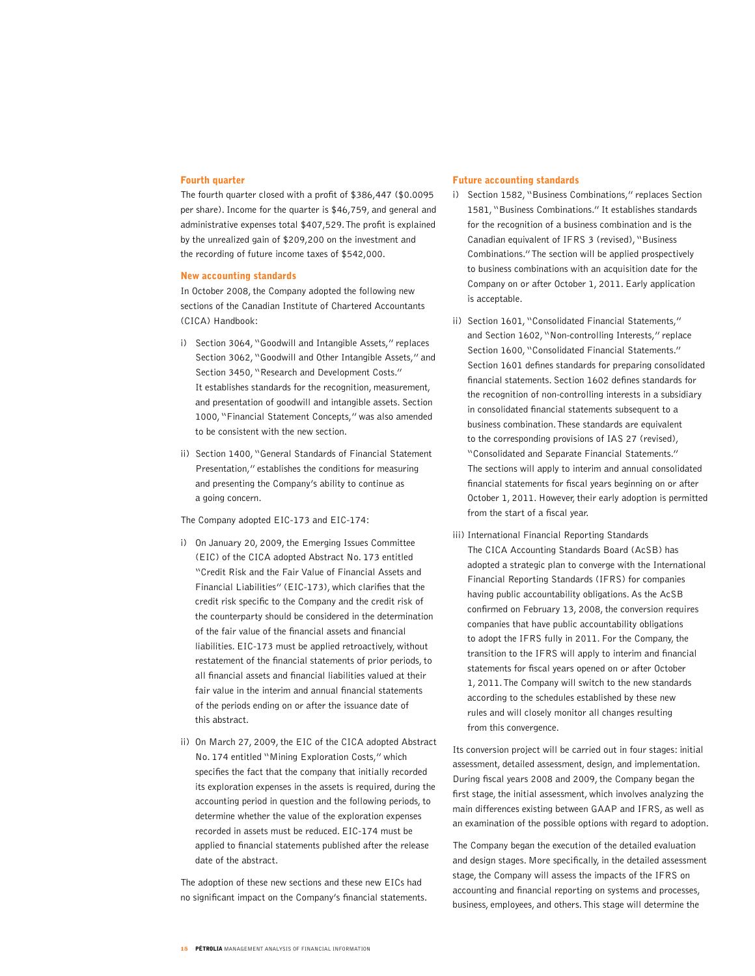## Fourth quarter

The fourth quarter closed with a profit of \$386,447 (\$0.0095 per share). Income for the quarter is \$46,759, and general and administrative expenses total \$407,529. The profit is explained by the unrealized gain of \$209,200 on the investment and the recording of future income taxes of \$542,000.

## New accounting standards

In October 2008, the Company adopted the following new sections of the Canadian Institute of Chartered Accountants (CICA) Handbook:

- i) Section 3064, "Goodwill and Intangible Assets," replaces Section 3062, "Goodwill and Other Intangible Assets," and Section 3450, "Research and Development Costs." It establishes standards for the recognition, measurement, and presentation of goodwill and intangible assets. Section 1000, "Financial Statement Concepts," was also amended to be consistent with the new section.
- ii) Section 1400, "General Standards of Financial Statement Presentation," establishes the conditions for measuring and presenting the Company's ability to continue as a going concern.

The Company adopted EIC-173 and EIC-174:

- i) On January 20, 2009, the Emerging Issues Committee (EIC) of the CICA adopted Abstract No. 173 entitled "Credit Risk and the Fair Value of Financial Assets and Financial Liabilities" (EIC-173), which clarifies that the credit risk specific to the Company and the credit risk of the counterparty should be considered in the determination of the fair value of the financial assets and financial liabilities. EIC-173 must be applied retroactively, without restatement of the financial statements of prior periods, to all financial assets and financial liabilities valued at their fair value in the interim and annual financial statements of the periods ending on or after the issuance date of this abstract.
- ii) On March 27, 2009, the EIC of the CICA adopted Abstract No. 174 entitled "Mining Exploration Costs," which specifies the fact that the company that initially recorded its exploration expenses in the assets is required, during the accounting period in question and the following periods, to determine whether the value of the exploration expenses recorded in assets must be reduced. EIC-174 must be applied to financial statements published after the release date of the abstract.

The adoption of these new sections and these new EICs had no significant impact on the Company's financial statements.

### Future accounting standards

- i) Section 1582, "Business Combinations," replaces Section 1581, "Business Combinations." It establishes standards for the recognition of a business combination and is the Canadian equivalent of IFRS 3 (revised), "Business Combinations." The section will be applied prospectively to business combinations with an acquisition date for the Company on or after October 1, 2011. Early application is acceptable.
- ii) Section 1601, "Consolidated Financial Statements," and Section 1602, "Non-controlling Interests," replace Section 1600, "Consolidated Financial Statements." Section 1601 defines standards for preparing consolidated financial statements. Section 1602 defines standards for the recognition of non-controlling interests in a subsidiary in consolidated financial statements subsequent to a business combination. These standards are equivalent to the corresponding provisions of IAS 27 (revised), "Consolidated and Separate Financial Statements." The sections will apply to interim and annual consolidated financial statements for fiscal years beginning on or after October 1, 2011. However, their early adoption is permitted from the start of a fiscal year.
- iii) International Financial Reporting Standards The CICA Accounting Standards Board (AcSB) has adopted a strategic plan to converge with the International Financial Reporting Standards (IFRS) for companies having public accountability obligations. As the AcSB confirmed on February 13, 2008, the conversion requires companies that have public accountability obligations to adopt the IFRS fully in 2011. For the Company, the transition to the IFRS will apply to interim and financial statements for fiscal years opened on or after October 1, 2011. The Company will switch to the new standards according to the schedules established by these new rules and will closely monitor all changes resulting from this convergence.

Its conversion project will be carried out in four stages: initial assessment, detailed assessment, design, and implementation. During fiscal years 2008 and 2009, the Company began the first stage, the initial assessment, which involves analyzing the main differences existing between GAAP and IFRS, as well as an examination of the possible options with regard to adoption.

The Company began the execution of the detailed evaluation and design stages. More specifically, in the detailed assessment stage, the Company will assess the impacts of the IFRS on accounting and financial reporting on systems and processes, business, employees, and others. This stage will determine the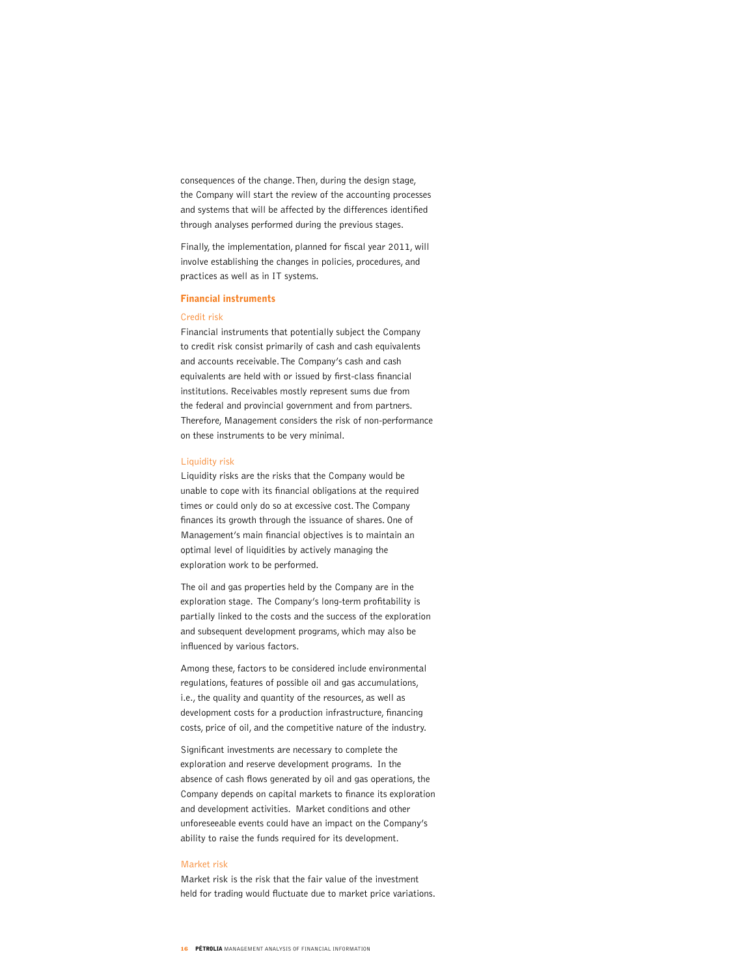consequences of the change. Then, during the design stage, the Company will start the review of the accounting processes and systems that will be affected by the differences identified through analyses performed during the previous stages.

Finally, the implementation, planned for fiscal year 2011, will involve establishing the changes in policies, procedures, and practices as well as in IT systems.

### Financial instruments

## Credit risk

Financial instruments that potentially subject the Company to credit risk consist primarily of cash and cash equivalents and accounts receivable. The Company's cash and cash equivalents are held with or issued by first-class financial institutions. Receivables mostly represent sums due from the federal and provincial government and from partners. Therefore, Management considers the risk of non-performance on these instruments to be very minimal.

#### Liquidity risk

Liquidity risks are the risks that the Company would be unable to cope with its financial obligations at the required times or could only do so at excessive cost. The Company finances its growth through the issuance of shares. One of Management's main financial objectives is to maintain an optimal level of liquidities by actively managing the exploration work to be performed.

The oil and gas properties held by the Company are in the exploration stage. The Company's long-term profitability is partially linked to the costs and the success of the exploration and subsequent development programs, which may also be influenced by various factors.

Among these, factors to be considered include environmental regulations, features of possible oil and gas accumulations, i.e., the quality and quantity of the resources, as well as development costs for a production infrastructure, financing costs, price of oil, and the competitive nature of the industry.

Significant investments are necessary to complete the exploration and reserve development programs. In the absence of cash flows generated by oil and gas operations, the Company depends on capital markets to finance its exploration and development activities. Market conditions and other unforeseeable events could have an impact on the Company's ability to raise the funds required for its development.

#### Market risk

Market risk is the risk that the fair value of the investment held for trading would fluctuate due to market price variations.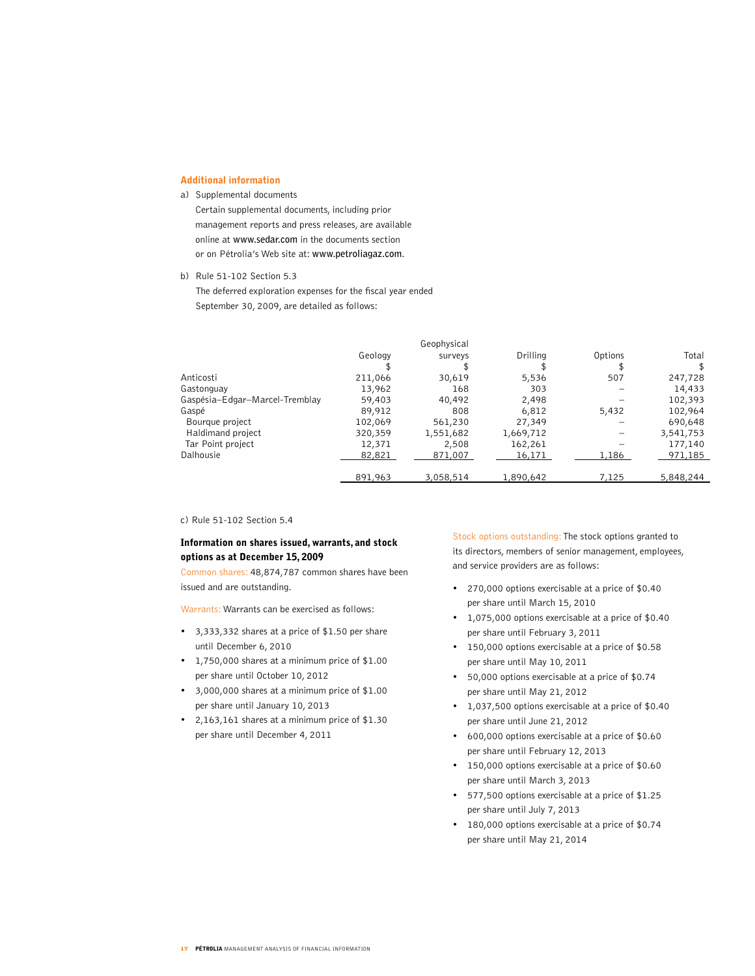# Additional information

## a) Supplemental documents

Certain supplemental documents, including prior management reports and press releases, are available online at **www.sedar.com** in the documents section or on Pétrolia's Web site at: **www.petroliagaz.com**.

b) Rule 51-102 Section 5.3

The deferred exploration expenses for the fiscal year ended September 30, 2009, are detailed as follows:

|                                |         | Geophysical |           |         |           |
|--------------------------------|---------|-------------|-----------|---------|-----------|
|                                | Geology | surveys     | Drilling  | Options | Total     |
|                                |         |             |           |         |           |
| Anticosti                      | 211,066 | 30,619      | 5,536     | 507     | 247,728   |
| Gastonguay                     | 13,962  | 168         | 303       |         | 14,433    |
| Gaspésia-Edgar-Marcel-Tremblay | 59,403  | 40,492      | 2,498     |         | 102,393   |
| Gaspé                          | 89,912  | 808         | 6,812     | 5,432   | 102,964   |
| Bourque project                | 102,069 | 561,230     | 27,349    |         | 690,648   |
| Haldimand project              | 320,359 | 1,551,682   | 1,669,712 |         | 3,541,753 |
| Tar Point project              | 12,371  | 2,508       | 162,261   |         | 177,140   |
| Dalhousie                      | 82,821  | 871,007     | 16,171    | 1,186   | 971,185   |
|                                | 891,963 | 3,058,514   | 1,890,642 | 7,125   | 5,848,244 |

c) Rule 51-102 Section 5.4

# Information on shares issued, warrants, and stock options as at December 15, 2009

Common shares: 48,874,787 common shares have been issued and are outstanding.

Warrants: Warrants can be exercised as follows:

- • 3,333,332 shares at a price of \$1.50 per share until December 6, 2010
- • 1,750,000 shares at a minimum price of \$1.00 per share until October 10, 2012
- • 3,000,000 shares at a minimum price of \$1.00 per share until January 10, 2013
- • 2,163,161 shares at a minimum price of \$1.30 per share until December 4, 2011

Stock options outstanding: The stock options granted to its directors, members of senior management, employees, and service providers are as follows:

- • 270,000 options exercisable at a price of \$0.40 per share until March 15, 2010
- • 1,075,000 options exercisable at a price of \$0.40 per share until February 3, 2011
- • 150,000 options exercisable at a price of \$0.58 per share until May 10, 2011
- 50,000 options exercisable at a price of  $$0.74$ per share until May 21, 2012
- • 1,037,500 options exercisable at a price of \$0.40 per share until June 21, 2012
- • 600,000 options exercisable at a price of \$0.60 per share until February 12, 2013
- • 150,000 options exercisable at a price of \$0.60 per share until March 3, 2013
- • 577,500 options exercisable at a price of \$1.25 per share until July 7, 2013
- • 180,000 options exercisable at a price of \$0.74 per share until May 21, 2014